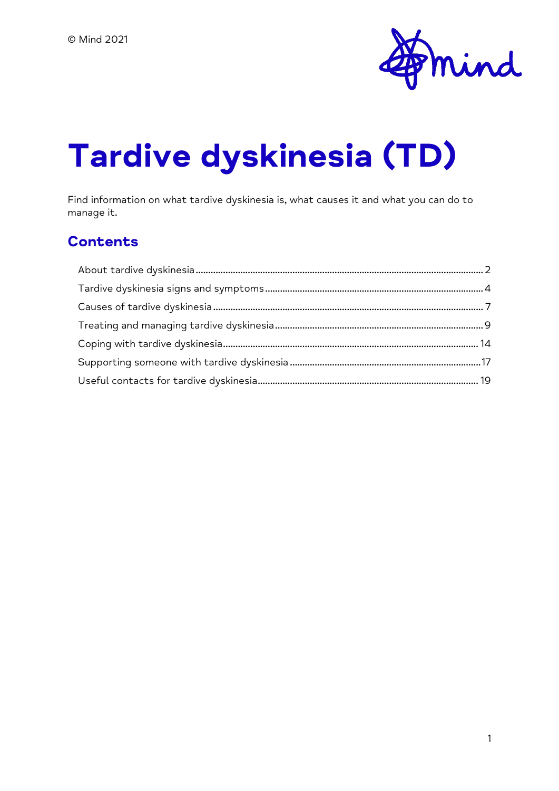

# **Tardive dyskinesia (TD)**

Find information on what tardive dyskinesia is, what causes it and what you can do to manage it.

#### **Contents**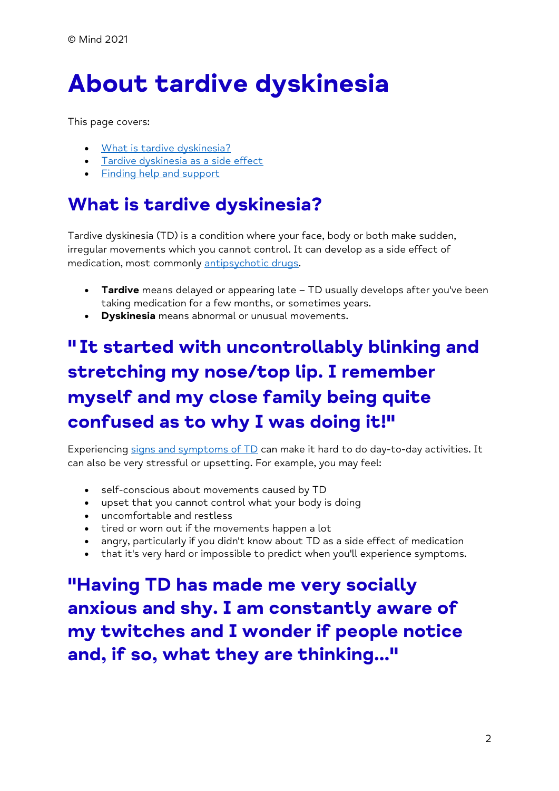# <span id="page-1-0"></span>**About tardive dyskinesia**

This page covers:

- [What is tardive dyskinesia?](/%7blocalLink:umb:/document/5ef3a9de94ed473aa57f57d470a77ae5%7d#WhatIsTardiveDyskinesia)
- [Tardive dyskinesia as a side effect](/%7blocalLink:umb:/document/5ef3a9de94ed473aa57f57d470a77ae5%7d#TardiveDyskinesiaAsASideEffect)
- [Finding help and support](/%7blocalLink:umb:/document/5ef3a9de94ed473aa57f57d470a77ae5%7d#FindingHelpAndSupport)

# **What is tardive dyskinesia?**

Tardive dyskinesia (TD) is a condition where your face, body or both make sudden, irregular movements which you cannot control. It can develop as a side effect of medication, most commonly [antipsychotic drugs.](/%7blocalLink:umb:/document/f982753bff584fccac4df940b58b449a%7d)

- **Tardive** means delayed or appearing late TD usually develops after you've been taking medication for a few months, or sometimes years.
- **Dyskinesia** means abnormal or unusual movements.

# **" It started with uncontrollably blinking and stretching my nose/top lip. I remember myself and my close family being quite confused as to why I was doing it!"**

Experiencing [signs and symptoms of TD](/%7blocalLink:umb:/document/465d9b15e513457590817e3f2416e597%7d) can make it hard to do day-to-day activities. It can also be very stressful or upsetting. For example, you may feel:

- self-conscious about movements caused by TD
- upset that you cannot control what your body is doing
- uncomfortable and restless
- tired or worn out if the movements happen a lot
- angry, particularly if you didn't know about TD as a side effect of medication
- that it's very hard or impossible to predict when you'll experience symptoms.

**"Having TD has made me very socially anxious and shy. I am constantly aware of my twitches and I wonder if people notice and, if so, what they are thinking..."**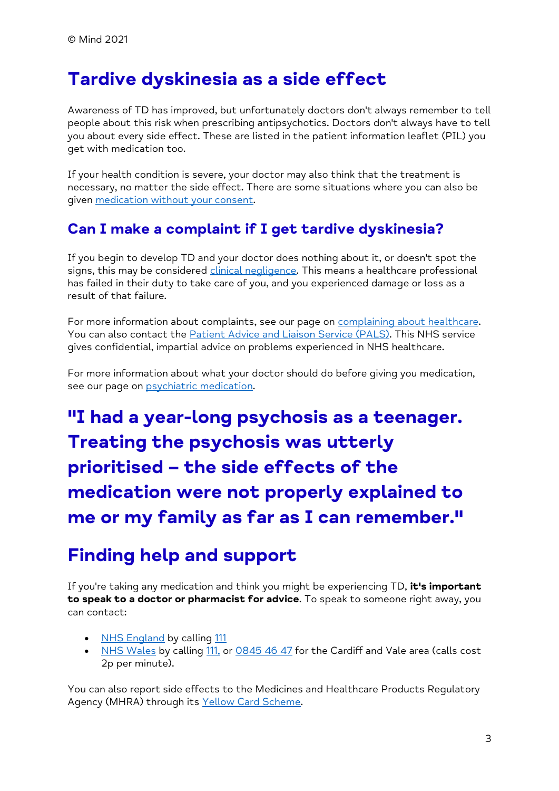### **Tardive dyskinesia as a side effect**

Awareness of TD has improved, but unfortunately doctors don't always remember to tell people about this risk when prescribing antipsychotics. Doctors don't always have to tell you about every side effect. These are listed in the patient information leaflet (PIL) you get with medication too.

If your health condition is severe, your doctor may also think that the treatment is necessary, no matter the side effect. There are some situations where you can also be given [medication without your consent.](/%7blocalLink:umb:/document/6c7408e7cba04bab94babbc492b8ef36%7d)

#### **Can I make a complaint if I get tardive dyskinesia?**

If you begin to develop TD and your doctor does nothing about it, or doesn't spot the signs, this may be considered *clinical negligence*. This means a healthcare professional has failed in their duty to take care of you, and you experienced damage or loss as a result of that failure.

For more information about complaints, see our page on [complaining about healthcare.](/%7blocalLink:umb:/document/ad5edf7b11c24735934d5bc8eb0f95c6%7d) You can also contact the [Patient Advice and Liaison Service \(PALS\).](https://www.nhs.uk/nhs-services/hospitals/what-is-pals-patient-advice-and-liaison-service/) This NHS service gives confidential, impartial advice on problems experienced in NHS healthcare.

For more information about what your doctor should do before giving you medication, see our page on **psychiatric** medication.

**"I had a year-long psychosis as a teenager. Treating the psychosis was utterly prioritised – the side effects of the medication were not properly explained to me or my family as far as I can remember."**

## **Finding help and support**

If you're taking any medication and think you might be experiencing TD, **it's important to speak to a doctor or pharmacist for advice**. To speak to someone right away, you can contact:

- [NHS England](https://www.nhs.uk/nhs-services/urgent-and-emergency-care-services/when-to-use-111/) by calling [111](tel:+44-111)
- [NHS Wales](https://111.wales.nhs.uk/contactus/) by calling [111,](tel:+44-111) or [0845 46 47](tel:+44-845-46-47) for the Cardiff and Vale area (calls cost 2p per minute).

You can also report side effects to the Medicines and Healthcare Products Regulatory Agency (MHRA) through its [Yellow Card Scheme.](https://yellowcard.mhra.gov.uk/)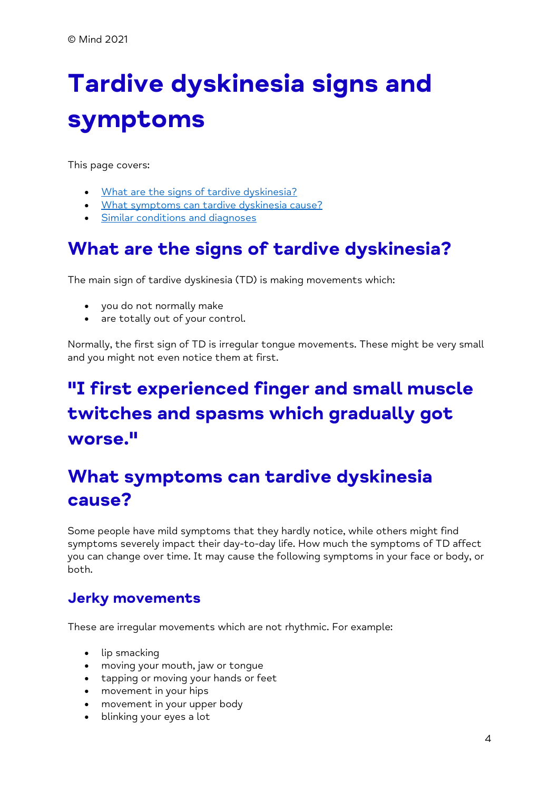# <span id="page-3-0"></span>**Tardive dyskinesia signs and symptoms**

This page covers:

- [What are the signs of tardive dyskinesia?](/%7blocalLink:umb:/document/465d9b15e513457590817e3f2416e597%7d#WhatAreTheSignsOfTardiveDyskinesia)
- [What symptoms can tardive dyskinesia cause?](/%7blocalLink:umb:/document/465d9b15e513457590817e3f2416e597%7d#WhatSymptomsCanTardiveDyskinesiaCause)
- [Similar conditions and diagnoses](/%7blocalLink:umb:/document/465d9b15e513457590817e3f2416e597%7d#SimilarConditionsAndDiagnoses)

### **What are the signs of tardive dyskinesia?**

The main sign of tardive dyskinesia (TD) is making movements which:

- you do not normally make
- are totally out of your control.

Normally, the first sign of TD is irregular tongue movements. These might be very small and you might not even notice them at first.

# **"I first experienced finger and small muscle twitches and spasms which gradually got worse."**

## **What symptoms can tardive dyskinesia cause?**

Some people have mild symptoms that they hardly notice, while others might find symptoms severely impact their day-to-day life. How much the symptoms of TD affect you can change over time. It may cause the following symptoms in your face or body, or both.

#### **Jerky movements**

These are irregular movements which are not rhythmic. For example:

- lip smacking
- moving your mouth, jaw or tongue
- tapping or moving your hands or feet
- movement in your hips
- movement in your upper body
- blinking your eyes a lot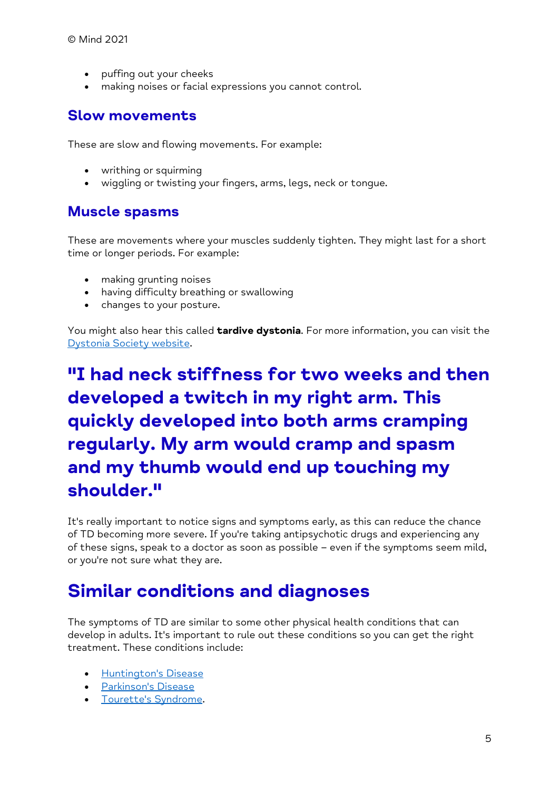- puffing out your cheeks
- making noises or facial expressions you cannot control.

#### **Slow movements**

These are slow and flowing movements. For example:

- writhing or squirming
- wiggling or twisting your fingers, arms, legs, neck or tongue.

#### **Muscle spasms**

These are movements where your muscles suddenly tighten. They might last for a short time or longer periods. For example:

- making grunting noises
- having difficulty breathing or swallowing
- changes to your posture.

You might also hear this called **tardive dystonia**. For more information, you can visit the [Dystonia Society website.](https://www.dystonia.org.uk/Pages/FAQs/Category/tardive-dystonia)

# **"I had neck stiffness for two weeks and then developed a twitch in my right arm. This quickly developed into both arms cramping regularly. My arm would cramp and spasm and my thumb would end up touching my shoulder."**

It's really important to notice signs and symptoms early, as this can reduce the chance of TD becoming more severe. If you're taking antipsychotic drugs and experiencing any of these signs, speak to a doctor as soon as possible – even if the symptoms seem mild, or you're not sure what they are.

### **Similar conditions and diagnoses**

The symptoms of TD are similar to some other physical health conditions that can develop in adults. It's important to rule out these conditions so you can get the right treatment. These conditions include:

- [Huntington's Disease](https://www.nhs.uk/conditions/huntingtons-disease/)
- [Parkinson's Disease](https://www.nhs.uk/conditions/parkinsons-disease/)
- [Tourette's Syndrome.](https://www.nhs.uk/conditions/tourettes-syndrome/)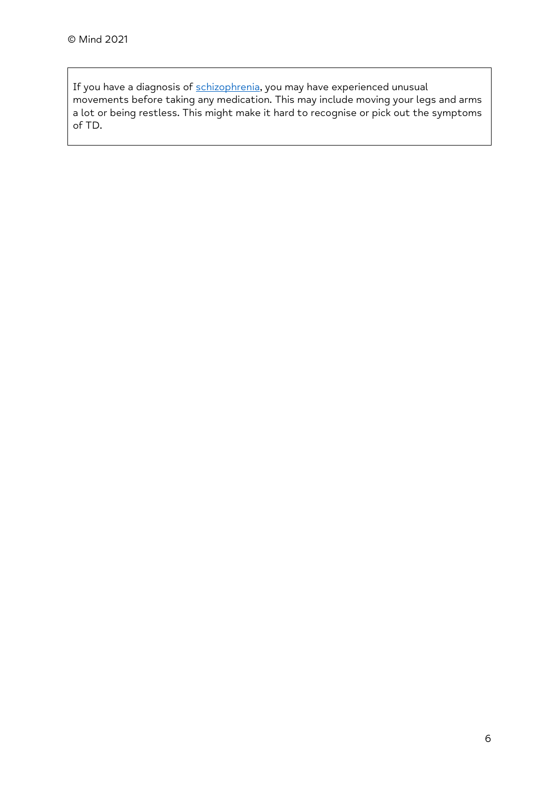If you have a diagnosis of [schizophrenia,](https://admin.mind.org.uk/information-support/types-of-mental-health-problems/schizophrenia/about-schizophrenia/) you may have experienced unusual movements before taking any medication. This may include moving your legs and arms a lot or being restless. This might make it hard to recognise or pick out the symptoms of TD.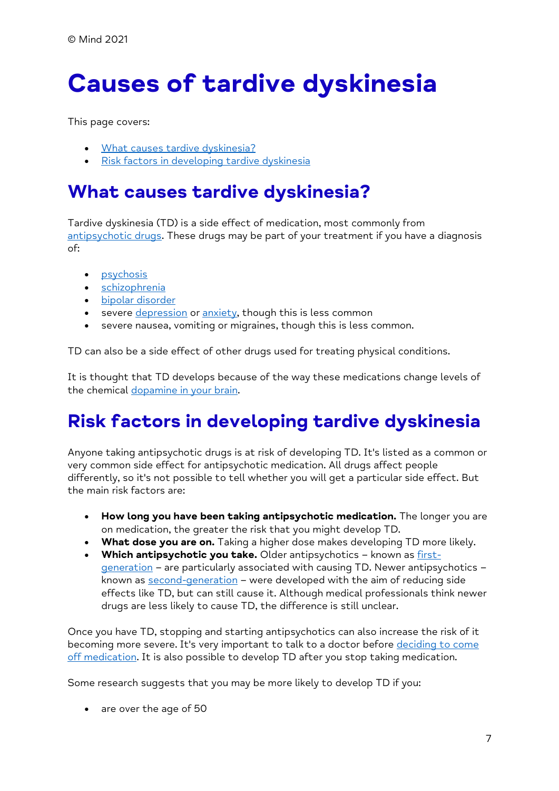# <span id="page-6-0"></span>**Causes of tardive dyskinesia**

This page covers:

- [What causes tardive dyskinesia?](/%7blocalLink:umb:/document/77dcf621e9f840c7b019061bb98a8697%7d#WhatCausesTardiveDyskinesia)
- [Risk factors in developing tardive dyskinesia](/%7blocalLink:umb:/document/77dcf621e9f840c7b019061bb98a8697%7d#RiskFactorsInDevelopingTardiveDyskinesia)

#### **What causes tardive dyskinesia?**

Tardive dyskinesia (TD) is a side effect of medication, most commonly from [antipsychotic drugs.](/%7blocalLink:umb:/document/f982753bff584fccac4df940b58b449a%7d) These drugs may be part of your treatment if you have a diagnosis of:

- [psychosis](/%7blocalLink:umb:/document/222621e960474456a8c7239abd08189c%7d)
- [schizophrenia](/%7blocalLink:umb:/document/4868b7674df046ba983383f0f43ff1cc%7d)
- [bipolar disorder](/%7blocalLink:umb:/document/2c089a4816cd49b39643c5c564f00f87%7d)
- severe [depression](/%7blocalLink:umb:/document/6a015f9237ce4f13ad7c5a13e8f31fac%7d) or [anxiety,](/%7blocalLink:umb:/document/5e89c9778ef94ff6af5f1ade45142625%7d) though this is less common
- severe nausea, vomiting or migraines, though this is less common.

TD can also be a side effect of other drugs used for treating physical conditions.

It is thought that TD develops because of the way these medications change levels of the chemical [dopamine in your brain.](/%7blocalLink:umb:/document/d57de8201bb0475d878b056b5a5b603b%7d#WhatsTheScienceBehindAntipsychotics)

# **Risk factors in developing tardive dyskinesia**

Anyone taking antipsychotic drugs is at risk of developing TD. It's listed as a common or very common side effect for antipsychotic medication. All drugs affect people differently, so it's not possible to tell whether you will get a particular side effect. But the main risk factors are:

- **How long you have been taking antipsychotic medication.** The longer you are on medication, the greater the risk that you might develop TD.
- **What dose you are on.** Taking a higher dose makes developing TD more likely.
- **Which antipsychotic you take.** Older antipsychotics known as [first](/%7blocalLink:umb:/document/d57de8201bb0475d878b056b5a5b603b%7d#FirstGenerationOlderAntipsychotics)[generation](/%7blocalLink:umb:/document/d57de8201bb0475d878b056b5a5b603b%7d#FirstGenerationOlderAntipsychotics) – are particularly associated with causing TD. Newer antipsychotics – known as [second-generation](/%7blocalLink:umb:/document/d57de8201bb0475d878b056b5a5b603b%7d#SecondGenerationNewerAntipsychotics) – were developed with the aim of reducing side effects like TD, but can still cause it. Although medical professionals think newer drugs are less likely to cause TD, the difference is still unclear.

Once you have TD, stopping and starting antipsychotics can also increase the risk of it becoming more severe. It's very important to talk to a doctor before deciding to come [off medication.](/%7blocalLink:umb:/document/f8119e91068647c5ab538e7726f0db1c%7d) It is also possible to develop TD after you stop taking medication.

Some research suggests that you may be more likely to develop TD if you:

• are over the age of 50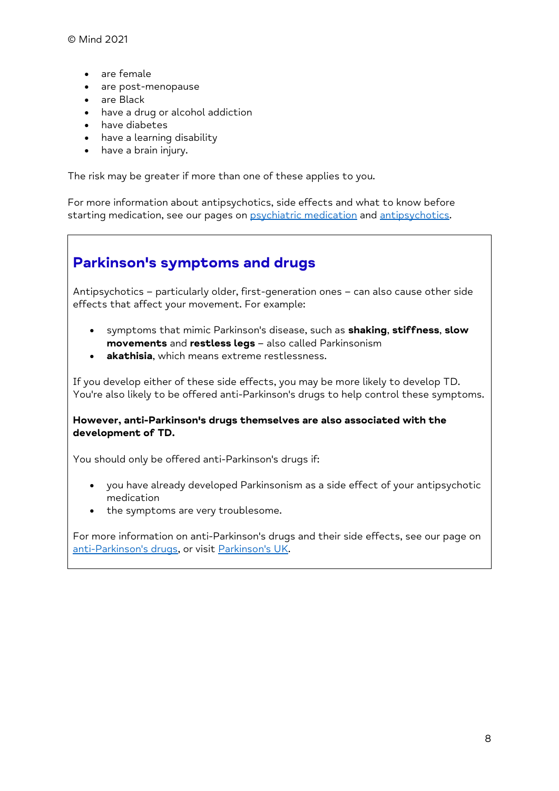© Mind 2021

- are female
- are post-menopause
- are Black
- have a drug or alcohol addiction
- have diabetes
- have a learning disability
- have a brain injury.

The risk may be greater if more than one of these applies to you.

For more information about antipsychotics, side effects and what to know before starting medication, see our pages on **psychiatric medication** and [antipsychotics.](/%7blocalLink:umb:/document/d57de8201bb0475d878b056b5a5b603b%7d)

#### **Parkinson's symptoms and drugs**

Antipsychotics – particularly older, first-generation ones – can also cause other side effects that affect your movement. For example:

- symptoms that mimic Parkinson's disease, such as **shaking**, **stiffness**, **slow movements** and **restless legs** – also called Parkinsonism
- **akathisia**, which means extreme restlessness.

If you develop either of these side effects, you may be more likely to develop TD. You're also likely to be offered anti-Parkinson's drugs to help control these symptoms.

#### **However, anti-Parkinson's drugs themselves are also associated with the development of TD.**

You should only be offered anti-Parkinson's drugs if:

- you have already developed Parkinsonism as a side effect of your antipsychotic medication
- the symptoms are very troublesome.

For more information on anti-Parkinson's drugs and their side effects, see our page on [anti-Parkinson's drugs,](/%7blocalLink:umb:/document/9c30c2ee1013405fb77d47542401e58d%7d) or visit [Parkinson's UK.](https://www.parkinsons.org.uk/information-and-support/side-effects-parkinsons-drugs)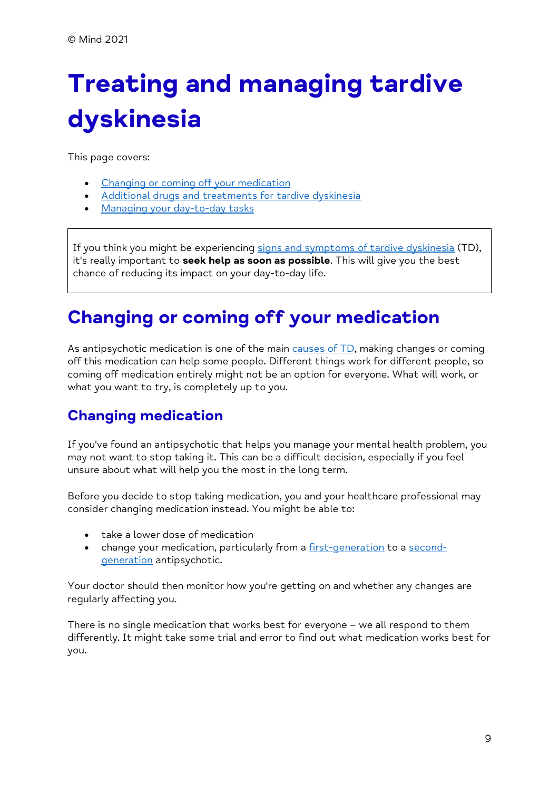# <span id="page-8-0"></span>**Treating and managing tardive dyskinesia**

This page covers:

- [Changing or coming off your medication](/%7blocalLink:umb:/document/7a16864ee13041098abc79be4e6e692b%7d#ChangingOrComingOffYourMedication)
- [Additional drugs and treatments for tardive dyskinesia](/%7blocalLink:umb:/document/7a16864ee13041098abc79be4e6e692b%7d#AdditionalDrugsAndTreatmentsForTardiveDyskinesia)
- [Managing your day-to-day tasks](/%7blocalLink:umb:/document/7a16864ee13041098abc79be4e6e692b%7d#ManagingYourDayToDayTasks)

If you think you might be experiencing [signs and symptoms of tardive dyskinesia](/%7blocalLink:umb:/document/465d9b15e513457590817e3f2416e597%7d) (TD), it's really important to **seek help as soon as possible**. This will give you the best chance of reducing its impact on your day-to-day life.

# **Changing or coming off your medication**

As antipsychotic medication is one of the main causes of  $TD$ , making changes or coming off this medication can help some people. Different things work for different people, so coming off medication entirely might not be an option for everyone. What will work, or what you want to try, is completely up to you.

#### **Changing medication**

If you've found an antipsychotic that helps you manage your mental health problem, you may not want to stop taking it. This can be a difficult decision, especially if you feel unsure about what will help you the most in the long term.

Before you decide to stop taking medication, you and your healthcare professional may consider changing medication instead. You might be able to:

- take a lower dose of medication
- change your medication, particularly from a [first-generation](/%7blocalLink:umb:/document/d57de8201bb0475d878b056b5a5b603b%7d#FirstGenerationOlderAntipsychotics) to a [second](/%7blocalLink:umb:/document/d57de8201bb0475d878b056b5a5b603b%7d#SecondGenerationNewerAntipsychotics)[generation](/%7blocalLink:umb:/document/d57de8201bb0475d878b056b5a5b603b%7d#SecondGenerationNewerAntipsychotics) antipsychotic.

Your doctor should then monitor how you're getting on and whether any changes are regularly affecting you.

There is no single medication that works best for everyone – we all respond to them differently. It might take some trial and error to find out what medication works best for you.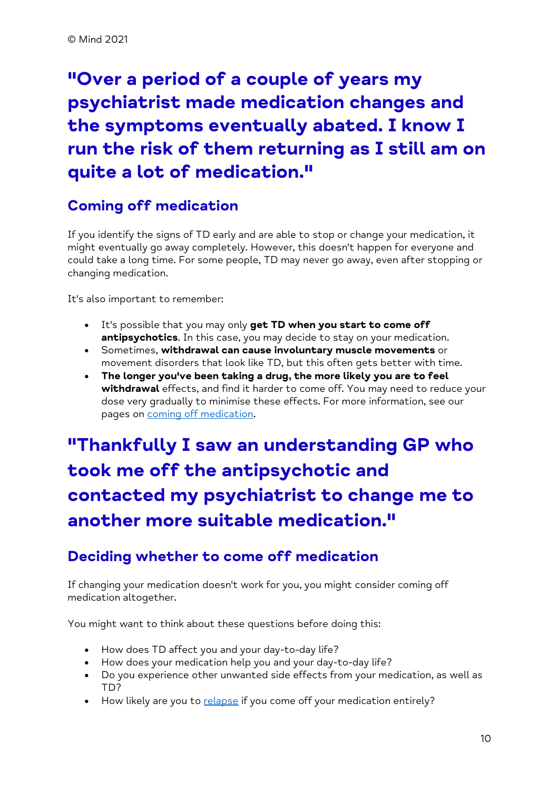# **"Over a period of a couple of years my psychiatrist made medication changes and the symptoms eventually abated. I know I run the risk of them returning as I still am on quite a lot of medication."**

#### **Coming off medication**

If you identify the signs of TD early and are able to stop or change your medication, it might eventually go away completely. However, this doesn't happen for everyone and could take a long time. For some people, TD may never go away, even after stopping or changing medication.

It's also important to remember:

- It's possible that you may only **get TD when you start to come off antipsychotics**. In this case, you may decide to stay on your medication.
- Sometimes, **withdrawal can cause involuntary muscle movements** or movement disorders that look like TD, but this often gets better with time.
- **The longer you've been taking a drug, the more likely you are to feel withdrawal** effects, and find it harder to come off. You may need to reduce your dose very gradually to minimise these effects. For more information, see our pages on [coming off medication.](/%7blocalLink:umb:/document/f8119e91068647c5ab538e7726f0db1c%7d)

# **"Thankfully I saw an understanding GP who took me off the antipsychotic and contacted my psychiatrist to change me to another more suitable medication."**

#### **Deciding whether to come off medication**

If changing your medication doesn't work for you, you might consider coming off medication altogether.

You might want to think about these questions before doing this:

- How does TD affect you and your day-to-day life?
- How does your medication help you and your day-to-day life?
- Do you experience other unwanted side effects from your medication, as well as TD?
- How likely are you to [relapse](/%7blocalLink:umb:/document/e61fd13230fe4297adb674c37c04b9b0%7d#WillMyPsychoticSymptomsComeBack) if you come off your medication entirely?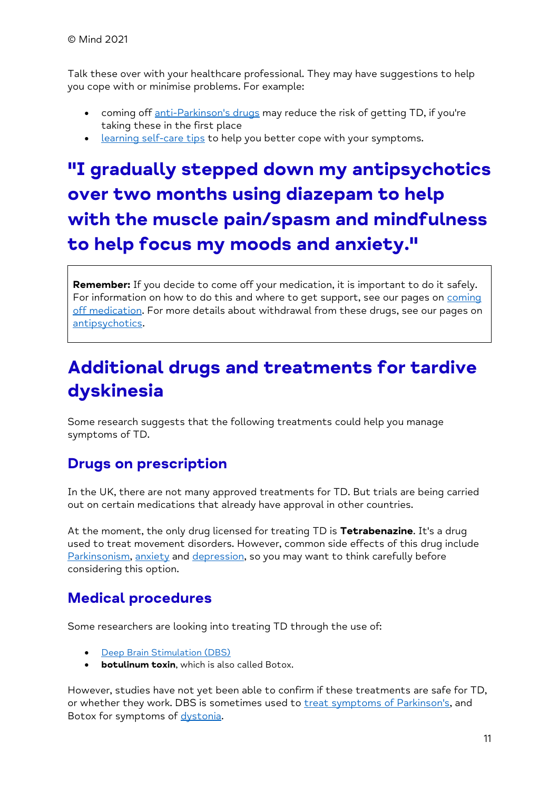Talk these over with your healthcare professional. They may have suggestions to help you cope with or minimise problems. For example:

- coming off [anti-Parkinson's drugs](/%7blocalLink:umb:/document/9c30c2ee1013405fb77d47542401e58d%7d) may reduce the risk of getting TD, if you're taking these in the first place
- [learning self-care tips](/%7blocalLink:umb:/document/19d7462c698c4bd2a60b7c00fd0e62f8%7d) to help you better cope with your symptoms.

# **"I gradually stepped down my antipsychotics over two months using diazepam to help with the muscle pain/spasm and mindfulness to help focus my moods and anxiety."**

**Remember:** If you decide to come off your medication, it is important to do it safely. For information on how to do this and where to get support, see our pages on [coming](/%7blocalLink:umb:/document/f8119e91068647c5ab538e7726f0db1c%7d)  [off medication.](/%7blocalLink:umb:/document/f8119e91068647c5ab538e7726f0db1c%7d) For more details about withdrawal from these drugs, see our pages on [antipsychotics.](/%7blocalLink:umb:/document/d57de8201bb0475d878b056b5a5b603b%7d)

## **Additional drugs and treatments for tardive dyskinesia**

Some research suggests that the following treatments could help you manage symptoms of TD.

#### **Drugs on prescription**

In the UK, there are not many approved treatments for TD. But trials are being carried out on certain medications that already have approval in other countries.

At the moment, the only drug licensed for treating TD is **Tetrabenazine**. It's a drug used to treat movement disorders. However, common side effects of this drug include [Parkinsonism,](/%7blocalLink:umb:/document/e790a7ee72b8451b9742d42a78d5ae2b%7d#NeuromuscularSideEffects) [anxiety](/%7blocalLink:umb:/document/49ab47bf2d66495b959fe35594353b4e%7d) and [depression,](/%7blocalLink:umb:/document/4a2355cc161548fc9eaabe559bb80951%7d) so you may want to think carefully before considering this option.

#### **Medical procedures**

Some researchers are looking into treating TD through the use of:

- **[Deep Brain Stimulation \(DBS\)](/%7blocalLink:umb:/document/c9d6c099abdb45dc887ecc13c0ffe30c%7d)**
- **botulinum toxin**, which is also called Botox.

However, studies have not yet been able to confirm if these treatments are safe for TD, or whether they work. DBS is sometimes used to [treat symptoms of Parkinson's,](https://www.parkinsons.org.uk/information-and-support/deep-brain-stimulation) and Botox for symptoms of [dystonia.](https://www.dystonia.org.uk/botulinum-toxin-injections)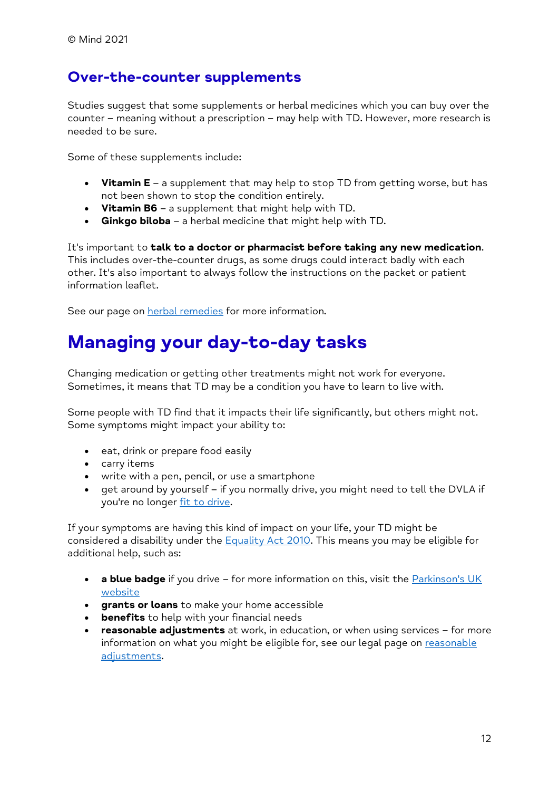#### **Over-the-counter supplements**

Studies suggest that some supplements or herbal medicines which you can buy over the counter – meaning without a prescription – may help with TD. However, more research is needed to be sure.

Some of these supplements include:

- **Vitamin E** a supplement that may help to stop TD from getting worse, but has not been shown to stop the condition entirely.
- **Vitamin B6** a supplement that might help with TD.
- **Ginkgo biloba** a herbal medicine that might help with TD.

It's important to **talk to a doctor or pharmacist before taking any new medication**. This includes over-the-counter drugs, as some drugs could interact badly with each other. It's also important to always follow the instructions on the packet or patient information leaflet.

See our page on **herbal remedies** for more information.

## **Managing your day-to-day tasks**

Changing medication or getting other treatments might not work for everyone. Sometimes, it means that TD may be a condition you have to learn to live with.

Some people with TD find that it impacts their life significantly, but others might not. Some symptoms might impact your ability to:

- eat, drink or prepare food easily
- carry items
- write with a pen, pencil, or use a smartphone
- get around by yourself if you normally drive, you might need to tell the DVLA if you're no longer [fit to drive.](/%7blocalLink:umb:/document/d1b84664a947461498dc0c618afba15b%7d)

If your symptoms are having this kind of impact on your life, your TD might be considered a disability under the [Equality Act 2010.](/%7blocalLink:umb:/document/4766ffe902f2411a990c98064cf2d89f%7d) This means you may be eligible for additional help, such as:

- **a blue badge** if you drive for more information on this, visit the **Parkinson's UK** [website](https://www.parkinsons.org.uk/information-and-support/help-getting-around)
- **grants or loans** to make your home accessible
- **benefits** to help with your financial needs
- **reasonable adjustments** at work, in education, or when using services for more information on what you might be eligible for, see our legal page on [reasonable](/%7blocalLink:umb:/document/e0c7ce3d5489496b8adba63ec56dccea%7d)  [adjustments.](/%7blocalLink:umb:/document/e0c7ce3d5489496b8adba63ec56dccea%7d)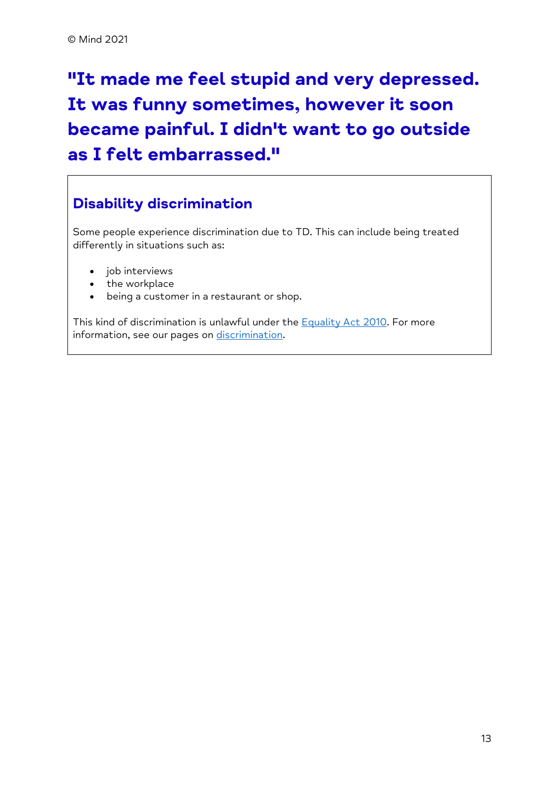# **"It made me feel stupid and very depressed. It was funny sometimes, however it soon became painful. I didn't want to go outside as I felt embarrassed."**

#### **Disability discrimination**

Some people experience discrimination due to TD. This can include being treated differently in situations such as:

- job interviews
- the workplace
- being a customer in a restaurant or shop.

This kind of discrimination is unlawful under the [Equality Act 2010.](/%7blocalLink:umb:/document/4766ffe902f2411a990c98064cf2d89f%7d) For more information, see our pages on [discrimination.](/%7blocalLink:umb:/document/1ca6ada1c6da4ea9919b2c5176cd5352%7d)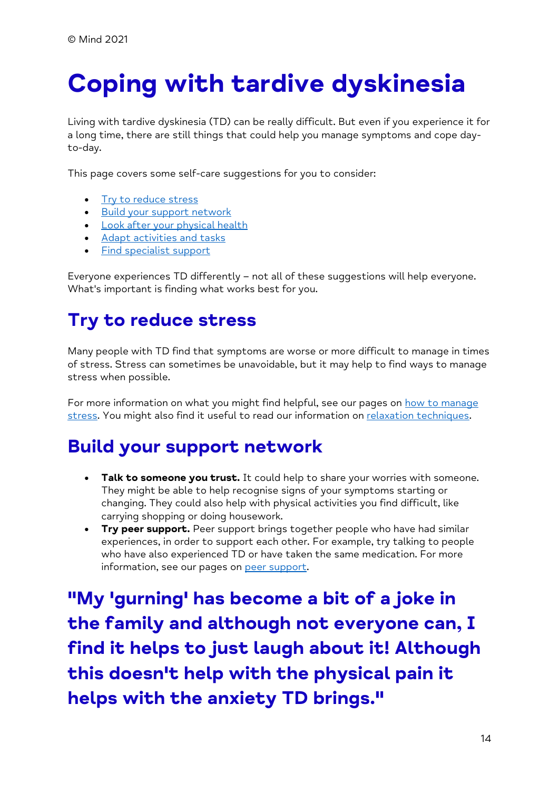# <span id="page-13-0"></span>**Coping with tardive dyskinesia**

Living with tardive dyskinesia (TD) can be really difficult. But even if you experience it for a long time, there are still things that could help you manage symptoms and cope dayto-day.

This page covers some self-care suggestions for you to consider:

- [Try to reduce stress](/%7blocalLink:umb:/document/19d7462c698c4bd2a60b7c00fd0e62f8%7d#TryToReduceStress)
- [Build your support network](/%7blocalLink:umb:/document/19d7462c698c4bd2a60b7c00fd0e62f8%7d#BuildYourSupportNetwork)
- [Look after your physical health](/%7blocalLink:umb:/document/19d7462c698c4bd2a60b7c00fd0e62f8%7d#LookAfterYourPhysicalHealth)
- [Adapt activities and tasks](/%7blocalLink:umb:/document/19d7462c698c4bd2a60b7c00fd0e62f8%7d#AdaptActivitiesAndTasks)
- [Find specialist support](/%7blocalLink:umb:/document/19d7462c698c4bd2a60b7c00fd0e62f8%7d#FindSpecialistSupport)

Everyone experiences TD differently – not all of these suggestions will help everyone. What's important is finding what works best for you.

# **Try to reduce stress**

Many people with TD find that symptoms are worse or more difficult to manage in times of stress. Stress can sometimes be unavoidable, but it may help to find ways to manage stress when possible.

For more information on what you might find helpful, see our pages on how to manage [stress.](/%7blocalLink:umb:/document/cfd9330c414248e4aa5d24fdf36f37ad%7d) You might also find it useful to read our information on [relaxation techniques.](/%7blocalLink:umb:/document/34287070fbbf441da8972f18627167b2%7d)

## **Build your support network**

- **Talk to someone you trust.** It could help to share your worries with someone. They might be able to help recognise signs of your symptoms starting or changing. They could also help with physical activities you find difficult, like carrying shopping or doing housework.
- **Try peer support.** Peer support brings together people who have had similar experiences, in order to support each other. For example, try talking to people who have also experienced TD or have taken the same medication. For more information, see our pages on [peer support.](/%7blocalLink:umb:/document/8ec41494dcaf4103adbb20ef7e490090%7d)

**"My 'gurning' has become a bit of a joke in the family and although not everyone can, I find it helps to just laugh about it! Although this doesn't help with the physical pain it helps with the anxiety TD brings."**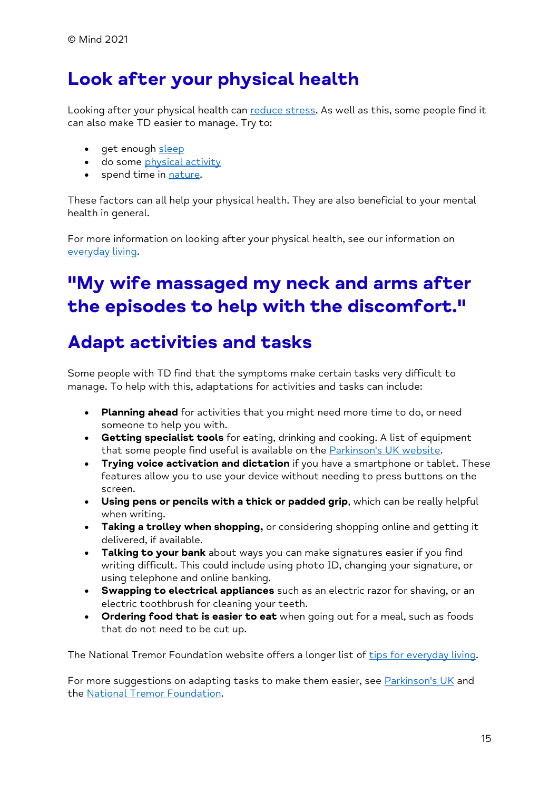# **Look after your physical health**

Looking after your physical health can [reduce stress.](/%7blocalLink:umb:/document/19d7462c698c4bd2a60b7c00fd0e62f8%7d#TryToReduceStress) As well as this, some people find it can also make TD easier to manage. Try to:

- get enough [sleep](/%7blocalLink:umb:/document/1ad8e79d5c274ab49d19012f15b28c3f%7d)
- do some [physical activity](/%7blocalLink:umb:/document/11b2c5953c274d68b3616559ff3218b7%7d)
- spend time in [nature.](/%7blocalLink:umb:/document/e63c2059a03246faae28413bad5559dc%7d)

These factors can all help your physical health. They are also beneficial to your mental health in general.

For more information on looking after your physical health, see our information on [everyday living.](/%7blocalLink:umb:/document/edc7fd534bac4abd874e1bb71e324de4%7d)

# **"My wife massaged my neck and arms after the episodes to help with the discomfort."**

## **Adapt activities and tasks**

Some people with TD find that the symptoms make certain tasks very difficult to manage. To help with this, adaptations for activities and tasks can include:

- **Planning ahead** for activities that you might need more time to do, or need someone to help you with.
- **Getting specialist tools** for eating, drinking and cooking. A list of equipment that some people find useful is available on the **Parkinson's UK** website.
- **Trying voice activation and dictation** if you have a smartphone or tablet. These features allow you to use your device without needing to press buttons on the screen.
- **Using pens or pencils with a thick or padded grip**, which can be really helpful when writing.
- **Taking a trolley when shopping,** or considering shopping online and getting it delivered, if available.
- **Talking to your bank** about ways you can make signatures easier if you find writing difficult. This could include using photo ID, changing your signature, or using telephone and online banking.
- **Swapping to electrical appliances** such as an electric razor for shaving, or an electric toothbrush for cleaning your teeth.
- **Ordering food that is easier to eat** when going out for a meal, such as foods that do not need to be cut up.

The National Tremor Foundation website offers a longer list of [tips for everyday living.](https://tremor.org.uk/helpful-hints)

For more suggestions on adapting tasks to make them easier, see **Parkinson's UK** and the [National Tremor Foundation.](https://tremor.org.uk/daily-living)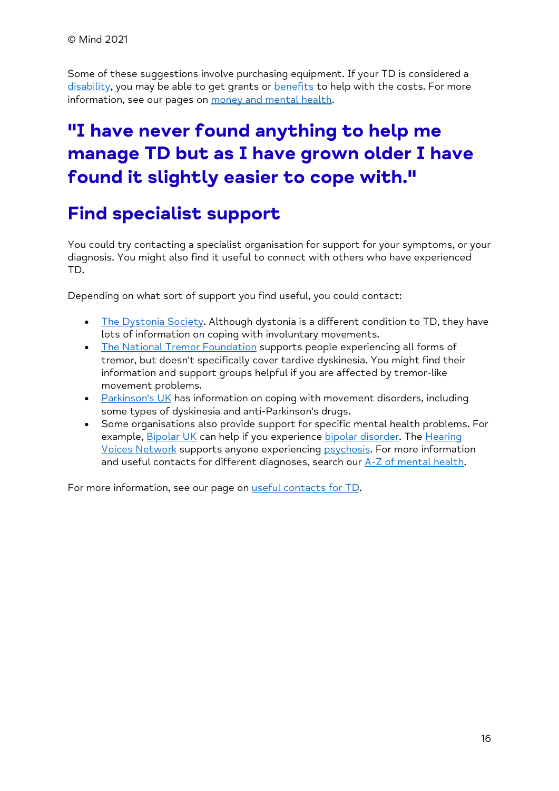Some of these suggestions involve purchasing equipment. If your TD is considered a [disability,](/%7blocalLink:umb:/document/d5aac3b5033e44be98aa64dad67f0927%7d) you may be able to get grants or [benefits](/%7blocalLink:umb:/document/6959435bb91a49378ecd8522a2779f53%7d) to help with the costs. For more information, see our pages on [money and mental health.](/%7blocalLink:umb:/document/6c546741f62a4cb0bd771caf64474e4a%7d)

# **"I have never found anything to help me manage TD but as I have grown older I have found it slightly easier to cope with."**

## **Find specialist support**

You could try contacting a specialist organisation for support for your symptoms, or your diagnosis. You might also find it useful to connect with others who have experienced TD.

Depending on what sort of support you find useful, you could contact:

- [The Dystonia Society.](https://www.dystonia.org.uk/) Although dystonia is a different condition to TD, they have lots of information on coping with involuntary movements.
- [The National Tremor Foundation](https://tremor.org.uk/home.html) supports people experiencing all forms of tremor, but doesn't specifically cover tardive dyskinesia. You might find their information and support groups helpful if you are affected by tremor-like movement problems.
- [Parkinson's UK](https://www.parkinsons.org.uk/) has information on coping with movement disorders, including some types of dyskinesia and anti-Parkinson's drugs.
- Some organisations also provide support for specific mental health problems. For example, [Bipolar UK](https://www.bipolaruk.org/) can help if you experience [bipolar disorder.](/%7blocalLink:umb:/document/cf5e6cceed764621a42b448e20b614db%7d) The Hearing [Voices Network](http://www.hearing-voices.org/) supports anyone experiencing [psychosis.](/%7blocalLink:umb:/document/acce32d263324a868412f6d812ad0029%7d) For more information and useful contacts for different diagnoses, search our [A-Z of mental health.](/%7blocalLink:umb:/document/bb11362d1f9a4cc497c9faca62a3884f%7d)

For more information, see our page on [useful contacts for TD.](/%7blocalLink:umb:/document/2cefdf55c6724178884bd35b9a5e53f8%7d)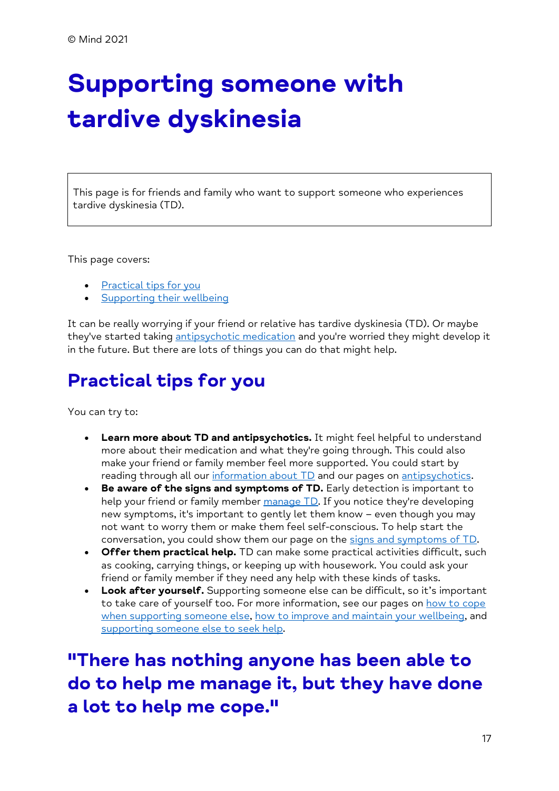# <span id="page-16-0"></span>**Supporting someone with tardive dyskinesia**

This page is for friends and family who want to support someone who experiences tardive dyskinesia (TD).

This page covers:

- [Practical tips](/%7blocalLink:umb:/document/a00ce4d9fc99463f802a68102b79ead0%7d#PracticalTipsForYou) for you
- [Supporting their wellbeing](/%7blocalLink:umb:/document/a00ce4d9fc99463f802a68102b79ead0%7d#SupportingTheirWellbeing)

It can be really worrying if your friend or relative has tardive dyskinesia (TD). Or maybe they've started taking [antipsychotic medication](/%7blocalLink:umb:/document/d57de8201bb0475d878b056b5a5b603b%7d) and you're worried they might develop it in the future. But there are lots of things you can do that might help.

## **Practical tips for you**

You can try to:

- **Learn more about TD and antipsychotics.** It might feel helpful to understand more about their medication and what they're going through. This could also make your friend or family member feel more supported. You could start by reading through all our [information about TD](/%7blocalLink:umb:/document/5ef3a9de94ed473aa57f57d470a77ae5%7d) and our pages on [antipsychotics.](/%7blocalLink:umb:/document/d57de8201bb0475d878b056b5a5b603b%7d)
- **Be aware of the signs and symptoms of TD.** Early detection is important to help your friend or family member [manage TD.](/%7blocalLink:umb:/document/7a16864ee13041098abc79be4e6e692b%7d) If you notice they're developing new symptoms, it's important to gently let them know – even though you may not want to worry them or make them feel self-conscious. To help start the conversation, you could show them our page on the [signs and symptoms of TD.](/%7blocalLink:umb:/document/465d9b15e513457590817e3f2416e597%7d)
- **Offer them practical help.** TD can make some practical activities difficult, such as cooking, carrying things, or keeping up with housework. You could ask your friend or family member if they need any help with these kinds of tasks.
- **Look after yourself.** Supporting someone else can be difficult, so it's important to take care of yourself too. For more information, see our pages on [how to cope](/%7blocalLink:umb:/document/d1eed718599e409ab20dd1bce54b5360%7d)  [when supporting someone else,](/%7blocalLink:umb:/document/d1eed718599e409ab20dd1bce54b5360%7d) [how to improve and maintain your wellbeing,](/%7blocalLink:umb:/document/df6a28054ecd4b46be7ad2e3b6fb690f%7d) and [supporting someone else to seek help.](/%7blocalLink:umb:/document/dd7c3e1a1fc94c3c9e13b3f3ec45cd41%7d)

**"There has nothing anyone has been able to do to help me manage it, but they have done a lot to help me cope."**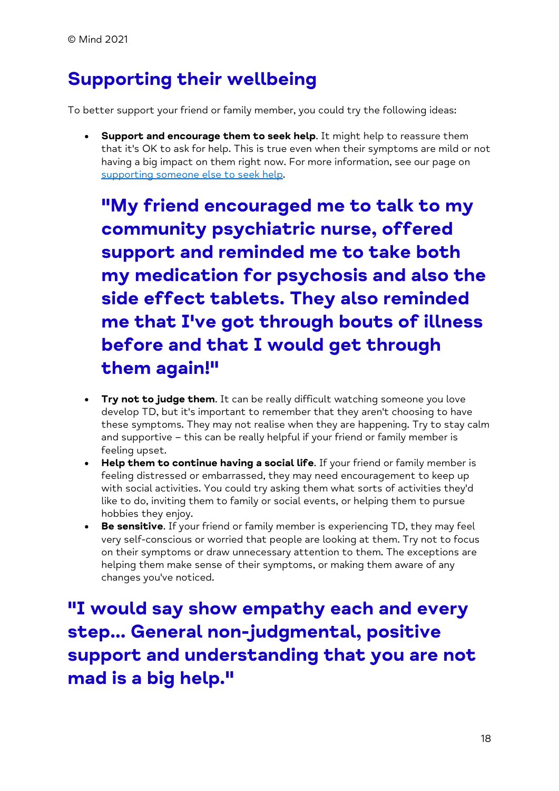# **Supporting their wellbeing**

To better support your friend or family member, you could try the following ideas:

• **Support and encourage them to seek help**. It might help to reassure them that it's OK to ask for help. This is true even when their symptoms are mild or not having a big impact on them right now. For more information, see our page on [supporting someone else to seek help.](/%7blocalLink:umb:/document/dd7c3e1a1fc94c3c9e13b3f3ec45cd41%7d)

**"My friend encouraged me to talk to my community psychiatric nurse, offered support and reminded me to take both my medication for psychosis and also the side effect tablets. They also reminded me that I've got through bouts of illness before and that I would get through them again!"**

- **Try not to judge them**. It can be really difficult watching someone you love develop TD, but it's important to remember that they aren't choosing to have these symptoms. They may not realise when they are happening. Try to stay calm and supportive – this can be really helpful if your friend or family member is feeling upset.
- **Help them to continue having a social life**. If your friend or family member is feeling distressed or embarrassed, they may need encouragement to keep up with social activities. You could try asking them what sorts of activities they'd like to do, inviting them to family or social events, or helping them to pursue hobbies they enjoy.
- **Be sensitive**. If your friend or family member is experiencing TD, they may feel very self-conscious or worried that people are looking at them. Try not to focus on their symptoms or draw unnecessary attention to them. The exceptions are helping them make sense of their symptoms, or making them aware of any changes you've noticed.

**"I would say show empathy each and every step... General non-judgmental, positive support and understanding that you are not mad is a big help."**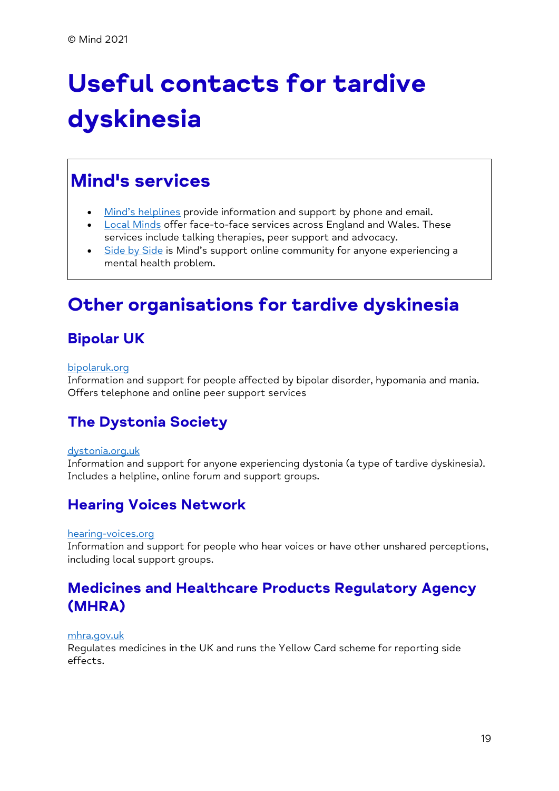# <span id="page-18-0"></span>**Useful contacts for tardive dyskinesia**

## **Mind's services**

- [Mind's helplines](https://www.mind.org.uk/information-support/helplines/) provide information and support by phone and email.
- [Local Minds](https://www.mind.org.uk/about-us/local-minds/) offer face-to-face services across England and Wales. These services include talking therapies, peer support and advocacy.
- [Side by Side](https://www.mind.org.uk/information-support/side-by-side-our-online-community/) is Mind's support online community for anyone experiencing a mental health problem.

## **Other organisations for tardive dyskinesia**

#### **Bipolar UK**

#### [bipolaruk.org](https://www.bipolaruk.org/)

Information and support for people affected by bipolar disorder, hypomania and mania. Offers telephone and online peer support services

#### **The Dystonia Society**

#### [dystonia.org.uk](https://www.dystonia.org.uk/)

Information and support for anyone experiencing dystonia (a type of tardive dyskinesia). Includes a helpline, online forum and support groups.

#### **Hearing Voices Network**

#### [hearing-voices.org](http://www.hearing-voices.org/)

Information and support for people who hear voices or have other unshared perceptions, including local support groups.

#### **Medicines and Healthcare Products Regulatory Agency (MHRA)**

#### [mhra.gov.uk](https://www.gov.uk/government/organisations/medicines-and-healthcare-products-regulatory-agency)

Regulates medicines in the UK and runs the Yellow Card scheme for reporting side effects.